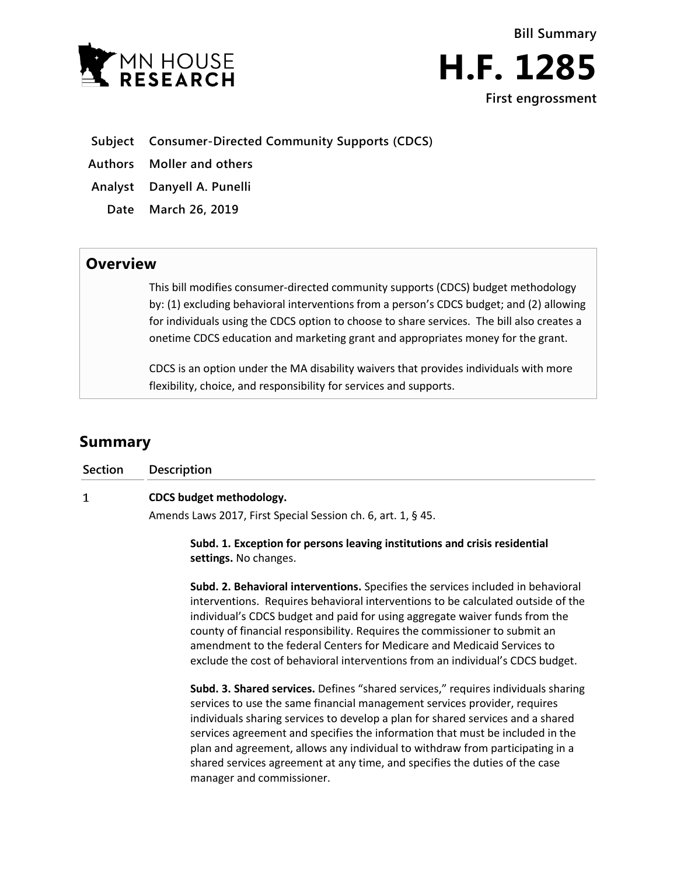

## **Subject Consumer-Directed Community Supports (CDCS)**

**Authors Moller and others**

**Analyst Danyell A. Punelli**

**Date March 26, 2019**

# **Overview**

This bill modifies consumer-directed community supports (CDCS) budget methodology by: (1) excluding behavioral interventions from a person's CDCS budget; and (2) allowing for individuals using the CDCS option to choose to share services. The bill also creates a onetime CDCS education and marketing grant and appropriates money for the grant.

CDCS is an option under the MA disability waivers that provides individuals with more flexibility, choice, and responsibility for services and supports.

# **Summary**

| <b>Section</b> | <b>Description</b>                                                                                                                                                                                                                                                                                                                                                                                                                                                                            |
|----------------|-----------------------------------------------------------------------------------------------------------------------------------------------------------------------------------------------------------------------------------------------------------------------------------------------------------------------------------------------------------------------------------------------------------------------------------------------------------------------------------------------|
| 1              | CDCS budget methodology.                                                                                                                                                                                                                                                                                                                                                                                                                                                                      |
|                | Amends Laws 2017, First Special Session ch. 6, art. 1, § 45.                                                                                                                                                                                                                                                                                                                                                                                                                                  |
|                | Subd. 1. Exception for persons leaving institutions and crisis residential<br>settings. No changes.                                                                                                                                                                                                                                                                                                                                                                                           |
|                | Subd. 2. Behavioral interventions. Specifies the services included in behavioral<br>interventions. Requires behavioral interventions to be calculated outside of the<br>individual's CDCS budget and paid for using aggregate waiver funds from the<br>county of financial responsibility. Requires the commissioner to submit an<br>amendment to the federal Centers for Medicare and Medicaid Services to<br>exclude the cost of behavioral interventions from an individual's CDCS budget. |

**Subd. 3. Shared services.** Defines "shared services," requires individuals sharing services to use the same financial management services provider, requires individuals sharing services to develop a plan for shared services and a shared services agreement and specifies the information that must be included in the plan and agreement, allows any individual to withdraw from participating in a shared services agreement at any time, and specifies the duties of the case manager and commissioner.